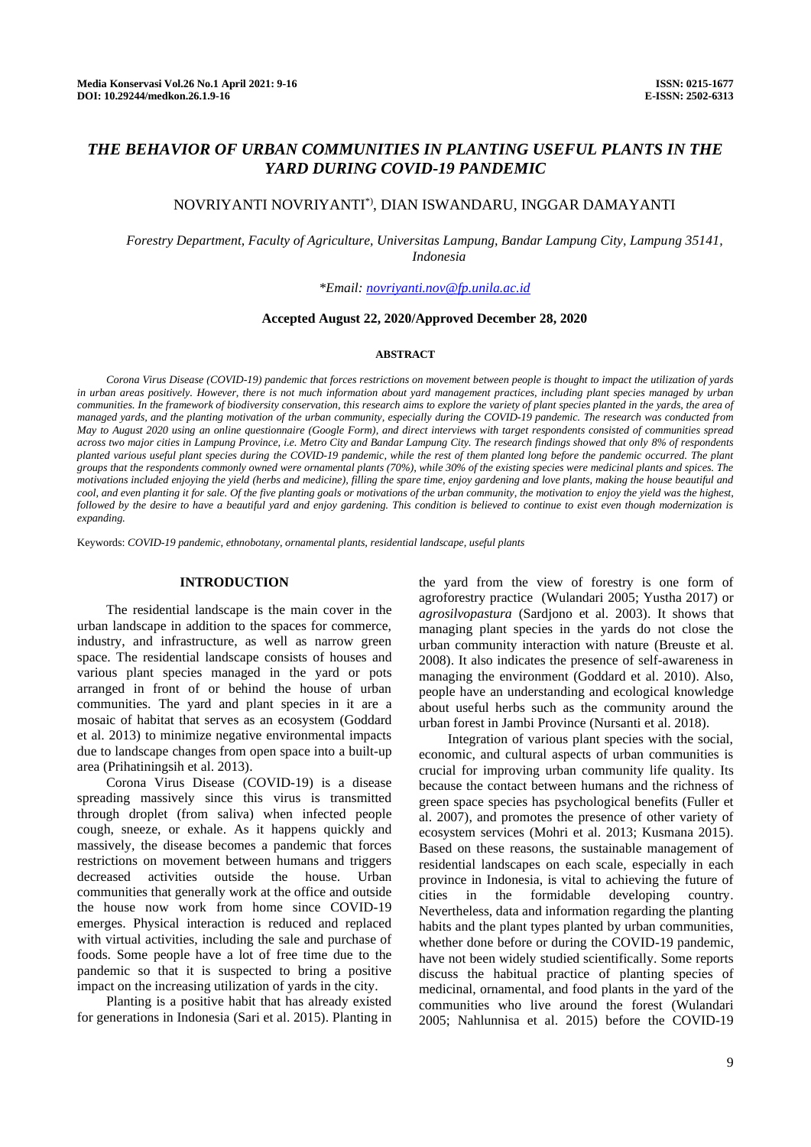# *THE BEHAVIOR OF URBAN COMMUNITIES IN PLANTING USEFUL PLANTS IN THE YARD DURING COVID-19 PANDEMIC*

### NOVRIYANTI NOVRIYANTI\*), DIAN ISWANDARU, INGGAR DAMAYANTI

*Forestry Department, Faculty of Agriculture, Universitas Lampung, Bandar Lampung City, Lampung 35141, Indonesia*

*\*Email: [novriyanti.nov@fp.unila.ac.id](mailto:novriyanti.nov@fp.unila.ac.id)*

### **Accepted August 22, 2020/Approved December 28, 2020**

#### **ABSTRACT**

*Corona Virus Disease (COVID-19) pandemic that forces restrictions on movement between people is thought to impact the utilization of yards in urban areas positively. However, there is not much information about yard management practices, including plant species managed by urban communities. In the framework of biodiversity conservation, this research aims to explore the variety of plant species planted in the yards, the area of managed yards, and the planting motivation of the urban community, especially during the COVID-19 pandemic. The research was conducted from May to August 2020 using an online questionnaire (Google Form), and direct interviews with target respondents consisted of communities spread across two major cities in Lampung Province, i.e. Metro City and Bandar Lampung City. The research findings showed that only 8% of respondents planted various useful plant species during the COVID-19 pandemic, while the rest of them planted long before the pandemic occurred. The plant groups that the respondents commonly owned were ornamental plants (70%), while 30% of the existing species were medicinal plants and spices. The motivations included enjoying the yield (herbs and medicine), filling the spare time, enjoy gardening and love plants, making the house beautiful and cool, and even planting it for sale. Of the five planting goals or motivations of the urban community, the motivation to enjoy the yield was the highest, followed by the desire to have a beautiful yard and enjoy gardening. This condition is believed to continue to exist even though modernization is expanding.* 

Keywords: *COVID-19 pandemic, ethnobotany, ornamental plants, residential landscape, useful plants*

### **INTRODUCTION**

The residential landscape is the main cover in the urban landscape in addition to the spaces for commerce, industry, and infrastructure, as well as narrow green space. The residential landscape consists of houses and various plant species managed in the yard or pots arranged in front of or behind the house of urban communities. The yard and plant species in it are a mosaic of habitat that serves as an ecosystem (Goddard et al. 2013) to minimize negative environmental impacts due to landscape changes from open space into a built-up area (Prihatiningsih et al. 2013).

Corona Virus Disease (COVID-19) is a disease spreading massively since this virus is transmitted through droplet (from saliva) when infected people cough, sneeze, or exhale. As it happens quickly and massively, the disease becomes a pandemic that forces restrictions on movement between humans and triggers decreased activities outside the house. Urban communities that generally work at the office and outside the house now work from home since COVID-19 emerges. Physical interaction is reduced and replaced with virtual activities, including the sale and purchase of foods. Some people have a lot of free time due to the pandemic so that it is suspected to bring a positive impact on the increasing utilization of yards in the city.

Planting is a positive habit that has already existed for generations in Indonesia (Sari et al. 2015). Planting in the yard from the view of forestry is one form of agroforestry practice (Wulandari 2005; Yustha 2017) or *agrosilvopastura* (Sardjono et al. 2003). It shows that managing plant species in the yards do not close the urban community interaction with nature (Breuste et al. 2008). It also indicates the presence of self-awareness in managing the environment (Goddard et al. 2010). Also, people have an understanding and ecological knowledge about useful herbs such as the community around the urban forest in Jambi Province (Nursanti et al. 2018).

Integration of various plant species with the social, economic, and cultural aspects of urban communities is crucial for improving urban community life quality. Its because the contact between humans and the richness of green space species has psychological benefits (Fuller et al. 2007), and promotes the presence of other variety of ecosystem services (Mohri et al. 2013; Kusmana 2015). Based on these reasons, the sustainable management of residential landscapes on each scale, especially in each province in Indonesia, is vital to achieving the future of cities in the formidable developing country. Nevertheless, data and information regarding the planting habits and the plant types planted by urban communities, whether done before or during the COVID-19 pandemic, have not been widely studied scientifically. Some reports discuss the habitual practice of planting species of medicinal, ornamental, and food plants in the yard of the communities who live around the forest (Wulandari 2005; Nahlunnisa et al. 2015) before the COVID-19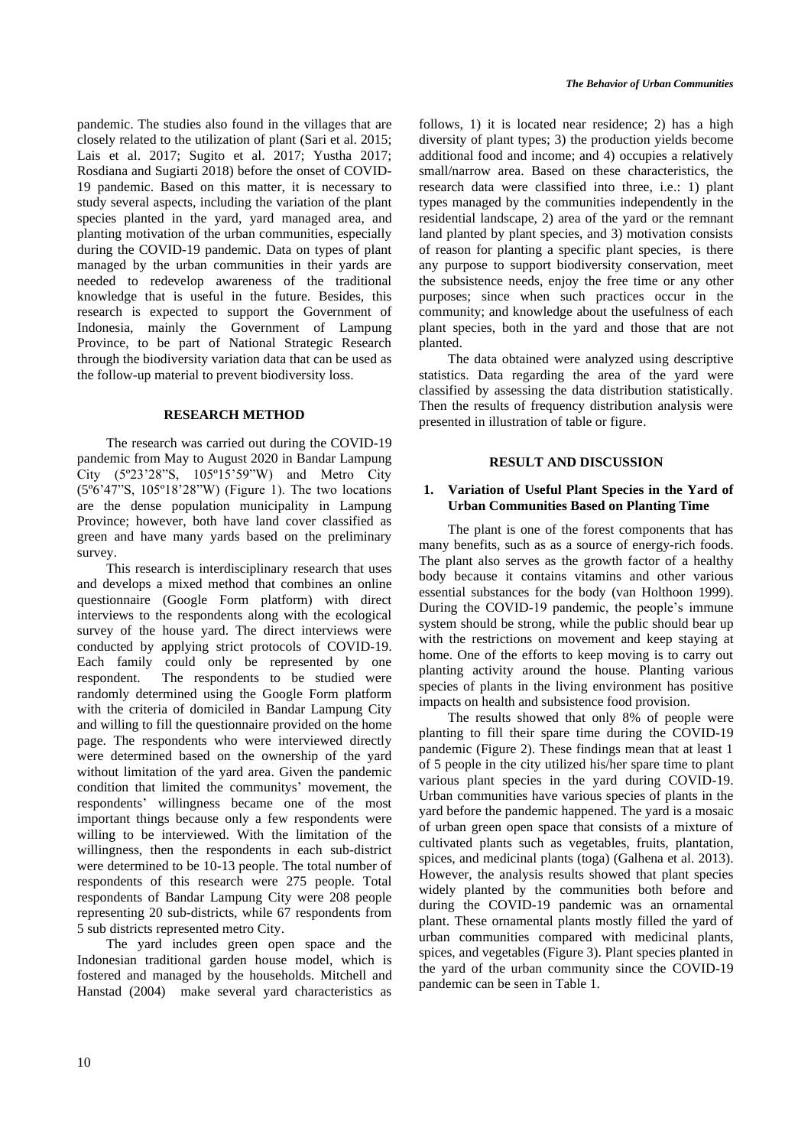pandemic. The studies also found in the villages that are closely related to the utilization of plant (Sari et al. 2015; Lais et al. 2017; Sugito et al. 2017; Yustha 2017; Rosdiana and Sugiarti 2018) before the onset of COVID-19 pandemic. Based on this matter, it is necessary to study several aspects, including the variation of the plant species planted in the yard, yard managed area, and planting motivation of the urban communities, especially during the COVID-19 pandemic. Data on types of plant managed by the urban communities in their yards are needed to redevelop awareness of the traditional knowledge that is useful in the future. Besides, this research is expected to support the Government of Indonesia, mainly the Government of Lampung Province, to be part of National Strategic Research through the biodiversity variation data that can be used as the follow-up material to prevent biodiversity loss.

### **RESEARCH METHOD**

The research was carried out during the COVID-19 pandemic from May to August 2020 in Bandar Lampung City (5º23'28"S, 105º15'59"W) and Metro City (5º6'47"S, 105º18'28"W) (Figure 1). The two locations are the dense population municipality in Lampung Province; however, both have land cover classified as green and have many yards based on the preliminary survey.

This research is interdisciplinary research that uses and develops a mixed method that combines an online questionnaire (Google Form platform) with direct interviews to the respondents along with the ecological survey of the house yard. The direct interviews were conducted by applying strict protocols of COVID-19. Each family could only be represented by one respondent. The respondents to be studied were randomly determined using the Google Form platform with the criteria of domiciled in Bandar Lampung City and willing to fill the questionnaire provided on the home page. The respondents who were interviewed directly were determined based on the ownership of the yard without limitation of the yard area. Given the pandemic condition that limited the communitys' movement, the respondents' willingness became one of the most important things because only a few respondents were willing to be interviewed. With the limitation of the willingness, then the respondents in each sub-district were determined to be 10-13 people. The total number of respondents of this research were 275 people. Total respondents of Bandar Lampung City were 208 people representing 20 sub-districts, while 67 respondents from 5 sub districts represented metro City.

The yard includes green open space and the Indonesian traditional garden house model, which is fostered and managed by the households. Mitchell and Hanstad (2004) make several yard characteristics as

follows, 1) it is located near residence; 2) has a high diversity of plant types; 3) the production yields become additional food and income; and 4) occupies a relatively small/narrow area. Based on these characteristics, the research data were classified into three, i.e.: 1) plant types managed by the communities independently in the residential landscape, 2) area of the yard or the remnant land planted by plant species, and 3) motivation consists of reason for planting a specific plant species, is there any purpose to support biodiversity conservation, meet the subsistence needs, enjoy the free time or any other purposes; since when such practices occur in the community; and knowledge about the usefulness of each plant species, both in the yard and those that are not planted.

The data obtained were analyzed using descriptive statistics. Data regarding the area of the yard were classified by assessing the data distribution statistically. Then the results of frequency distribution analysis were presented in illustration of table or figure.

## **RESULT AND DISCUSSION**

### **1. Variation of Useful Plant Species in the Yard of Urban Communities Based on Planting Time**

The plant is one of the forest components that has many benefits, such as as a source of energy-rich foods. The plant also serves as the growth factor of a healthy body because it contains vitamins and other various essential substances for the body (van Holthoon 1999). During the COVID-19 pandemic, the people's immune system should be strong, while the public should bear up with the restrictions on movement and keep staying at home. One of the efforts to keep moving is to carry out planting activity around the house. Planting various species of plants in the living environment has positive impacts on health and subsistence food provision.

The results showed that only 8% of people were planting to fill their spare time during the COVID-19 pandemic (Figure 2). These findings mean that at least 1 of 5 people in the city utilized his/her spare time to plant various plant species in the yard during COVID-19. Urban communities have various species of plants in the yard before the pandemic happened. The yard is a mosaic of urban green open space that consists of a mixture of cultivated plants such as vegetables, fruits, plantation, spices, and medicinal plants (toga) (Galhena et al. 2013). However, the analysis results showed that plant species widely planted by the communities both before and during the COVID-19 pandemic was an ornamental plant. These ornamental plants mostly filled the yard of urban communities compared with medicinal plants, spices, and vegetables (Figure 3). Plant species planted in the yard of the urban community since the COVID-19 pandemic can be seen in Table 1.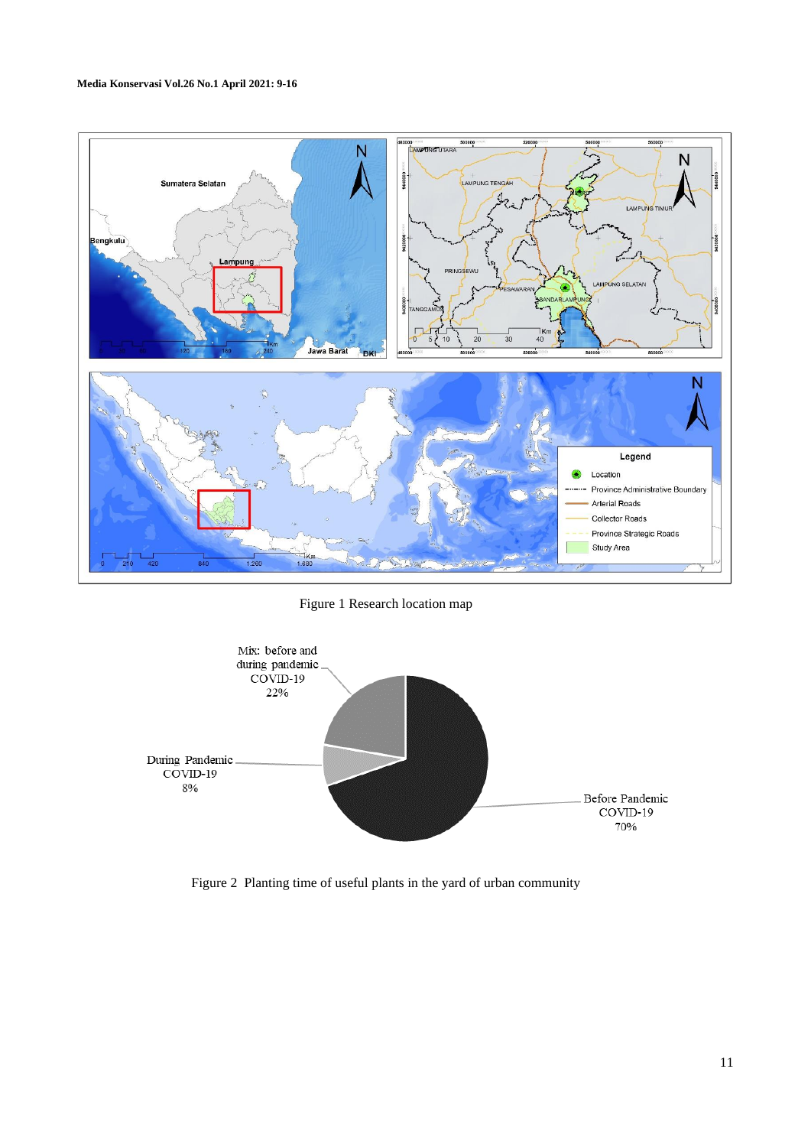

Figure 1 Research location map



Figure 2 Planting time of useful plants in the yard of urban community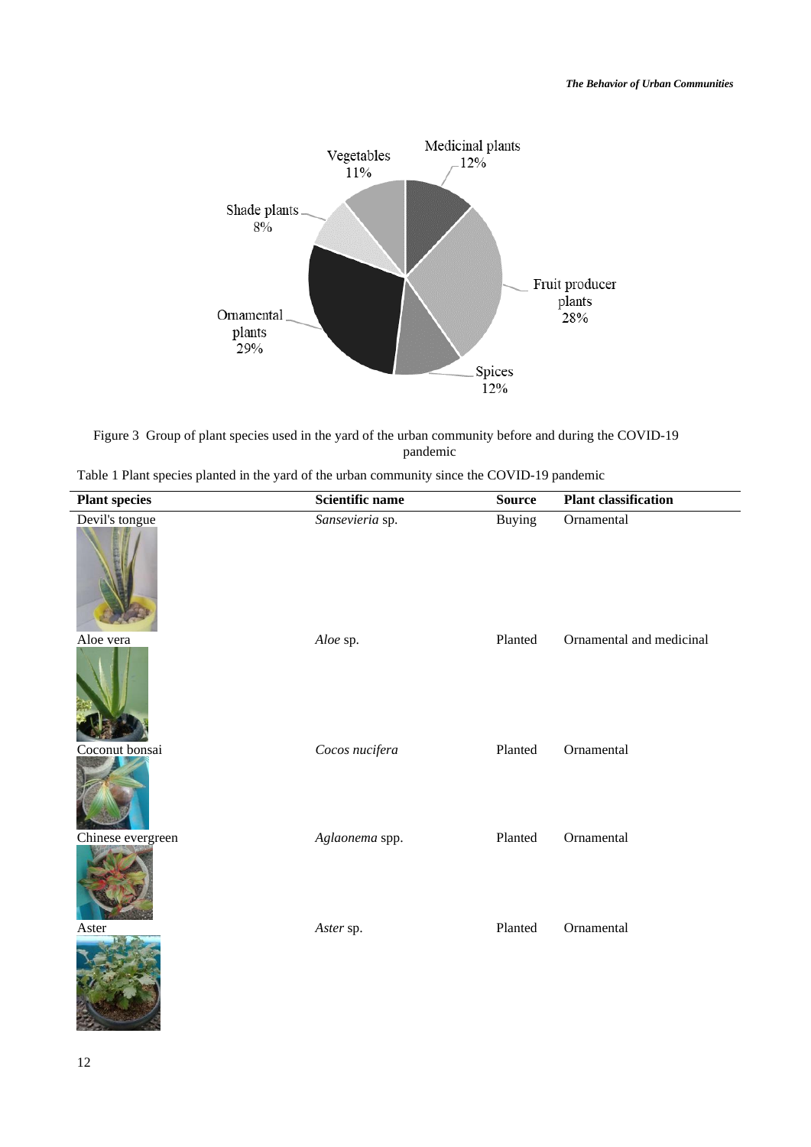

Figure 3 Group of plant species used in the yard of the urban community before and during the COVID-19 pandemic

|  |  | Table 1 Plant species planted in the vard of the urban community since the COVID-19 pandemic |
|--|--|----------------------------------------------------------------------------------------------|
|  |  |                                                                                              |

| <b>Plant species</b> | Scientific name | <b>Source</b> | <b>Plant classification</b> |
|----------------------|-----------------|---------------|-----------------------------|
| Devil's tongue       | Sansevieria sp. | Buying        | Ornamental                  |
| Aloe vera            | Aloe sp.        | Planted       | Ornamental and medicinal    |
| Coconut bonsai       | Cocos nucifera  | Planted       | Ornamental                  |
| Chinese evergreen    | Aglaonema spp.  | Planted       | Ornamental                  |
| Aster                | Aster sp.       | Planted       | Ornamental                  |

经

 $\overline{a}$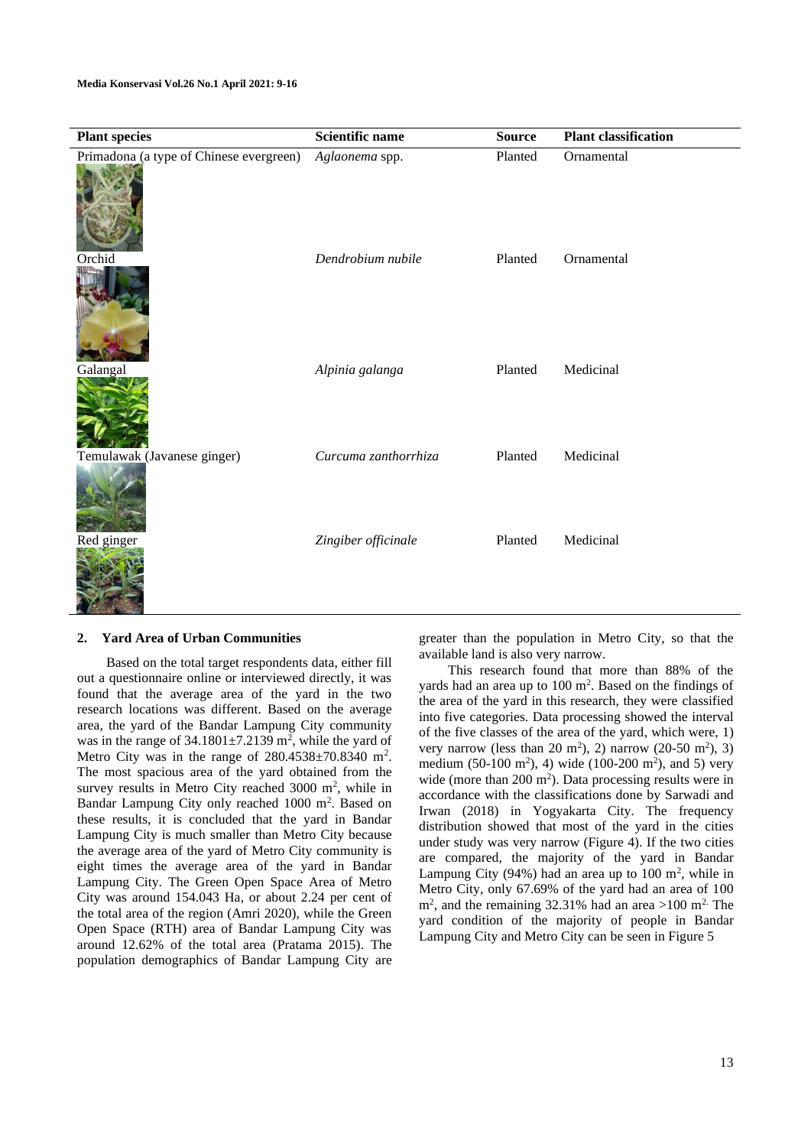### **Media Konservasi Vol.26 No.1 April 2021: 9-16**

| <b>Plant species</b>                                   | Scientific name      | <b>Source</b> | <b>Plant classification</b> |
|--------------------------------------------------------|----------------------|---------------|-----------------------------|
| Primadona (a type of Chinese evergreen) Aglaonema spp. |                      | Planted       | Ornamental                  |
| Orchid                                                 | Dendrobium nubile    | Planted       | Ornamental                  |
| Galangal                                               | Alpinia galanga      | Planted       | Medicinal                   |
| Temulawak (Javanese ginger)                            | Curcuma zanthorrhiza | Planted       | Medicinal                   |
| Red ginger                                             | Zingiber officinale  | Planted       | Medicinal                   |

### **2. Yard Area of Urban Communities**

Based on the total target respondents data, either fill out a questionnaire online or interviewed directly, it was found that the average area of the yard in the two research locations was different. Based on the average area, the yard of the Bandar Lampung City community was in the range of  $34.1801 \pm 7.2139$  m<sup>2</sup>, while the yard of Metro City was in the range of  $280.4538 \pm 70.8340$  m<sup>2</sup>. The most spacious area of the yard obtained from the survey results in Metro City reached  $3000 \text{ m}^2$ , while in Bandar Lampung City only reached 1000 m<sup>2</sup>. Based on these results, it is concluded that the yard in Bandar Lampung City is much smaller than Metro City because the average area of the yard of Metro City community is eight times the average area of the yard in Bandar Lampung City. The Green Open Space Area of Metro City was around 154.043 Ha, or about 2.24 per cent of the total area of the region (Amri 2020), while the Green Open Space (RTH) area of Bandar Lampung City was around 12.62% of the total area (Pratama 2015). The population demographics of Bandar Lampung City are

greater than the population in Metro City, so that the available land is also very narrow.

This research found that more than 88% of the yards had an area up to 100 m<sup>2</sup>. Based on the findings of the area of the yard in this research, they were classified into five categories. Data processing showed the interval of the five classes of the area of the yard, which were, 1) very narrow (less than  $20 \text{ m}^2$ ), 2) narrow (20-50 m<sup>2</sup>), 3) medium (50-100 m<sup>2</sup>), 4) wide (100-200 m<sup>2</sup>), and 5) very wide (more than  $200 \text{ m}^2$ ). Data processing results were in accordance with the classifications done by Sarwadi and Irwan (2018) in Yogyakarta City. The frequency distribution showed that most of the yard in the cities under study was very narrow (Figure 4). If the two cities are compared, the majority of the yard in Bandar Lampung City (94%) had an area up to  $100 \text{ m}^2$ , while in Metro City, only 67.69% of the yard had an area of 100  $m<sup>2</sup>$ , and the remaining 32.31% had an area >100 m<sup>2.</sup> The yard condition of the majority of people in Bandar Lampung City and Metro City can be seen in Figure 5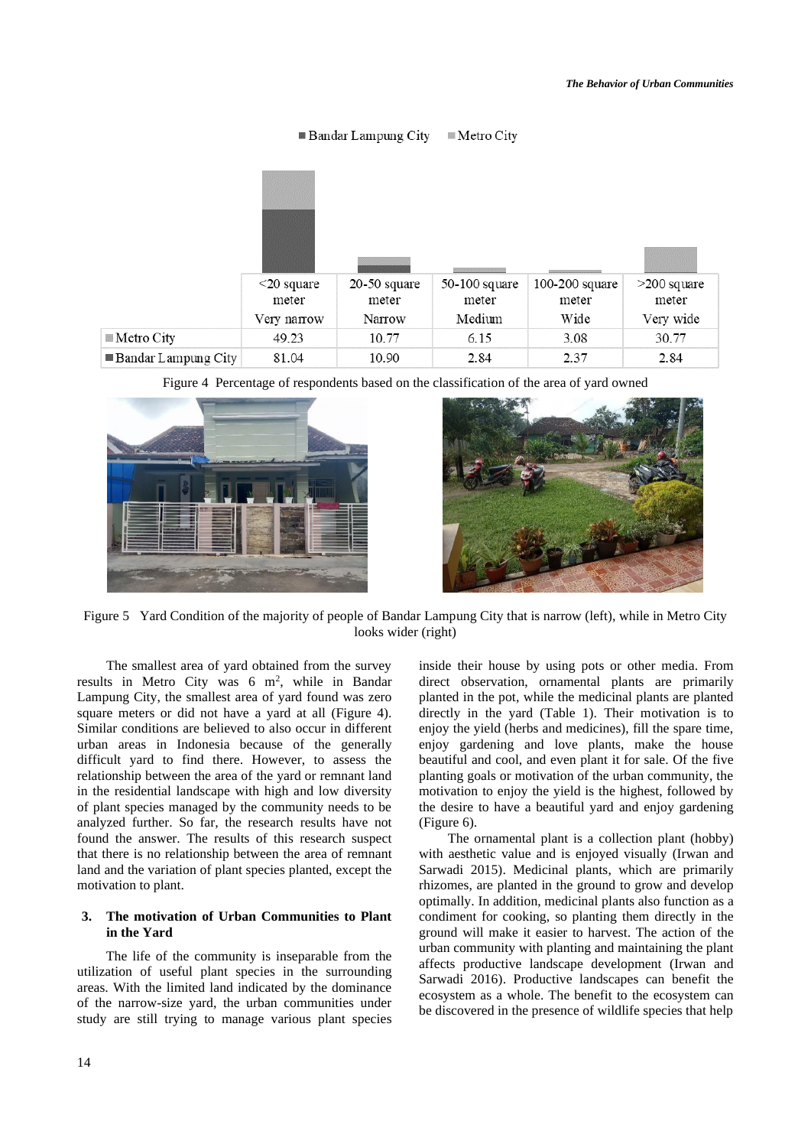|                           | $<$ 20 square<br>meter | $20-50$ square<br>meter | $50-100$ square<br>meter | 100-200 square<br>meter | $>200$ square<br>meter |
|---------------------------|------------------------|-------------------------|--------------------------|-------------------------|------------------------|
|                           | Very narrow            | Narrow                  | Medium                   | Wide                    | Very wide              |
| $\blacksquare$ Metro City | 49.23                  | 10.77                   | 6.15                     | 3.08                    | 30.77                  |
| ■ Bandar Lampung City     | 81.04                  | 10.90                   | 2.84                     | 2.37                    | 2.84                   |

#### **Bandar Lampung City** ■ Metro City

| <b>COLL</b> |  |  |
|-------------|--|--|
|             |  |  |

Figure 4 Percentage of respondents based on the classification of the area of yard owned



Figure 5 Yard Condition of the majority of people of Bandar Lampung City that is narrow (left), while in Metro City looks wider (right)

The smallest area of yard obtained from the survey results in Metro City was  $6 \text{ m}^2$ , while in Bandar Lampung City, the smallest area of yard found was zero square meters or did not have a yard at all (Figure 4). Similar conditions are believed to also occur in different urban areas in Indonesia because of the generally difficult yard to find there. However, to assess the relationship between the area of the yard or remnant land in the residential landscape with high and low diversity of plant species managed by the community needs to be analyzed further. So far, the research results have not found the answer. The results of this research suspect that there is no relationship between the area of remnant land and the variation of plant species planted, except the motivation to plant.

### **3. The motivation of Urban Communities to Plant in the Yard**

The life of the community is inseparable from the utilization of useful plant species in the surrounding areas. With the limited land indicated by the dominance of the narrow-size yard, the urban communities under study are still trying to manage various plant species inside their house by using pots or other media. From direct observation, ornamental plants are primarily planted in the pot, while the medicinal plants are planted directly in the yard (Table 1). Their motivation is to enjoy the yield (herbs and medicines), fill the spare time, enjoy gardening and love plants, make the house beautiful and cool, and even plant it for sale. Of the five planting goals or motivation of the urban community, the motivation to enjoy the yield is the highest, followed by the desire to have a beautiful yard and enjoy gardening (Figure 6).

The ornamental plant is a collection plant (hobby) with aesthetic value and is enjoyed visually (Irwan and Sarwadi 2015). Medicinal plants, which are primarily rhizomes, are planted in the ground to grow and develop optimally. In addition, medicinal plants also function as a condiment for cooking, so planting them directly in the ground will make it easier to harvest. The action of the urban community with planting and maintaining the plant affects productive landscape development (Irwan and Sarwadi 2016). Productive landscapes can benefit the ecosystem as a whole. The benefit to the ecosystem can be discovered in the presence of wildlife species that help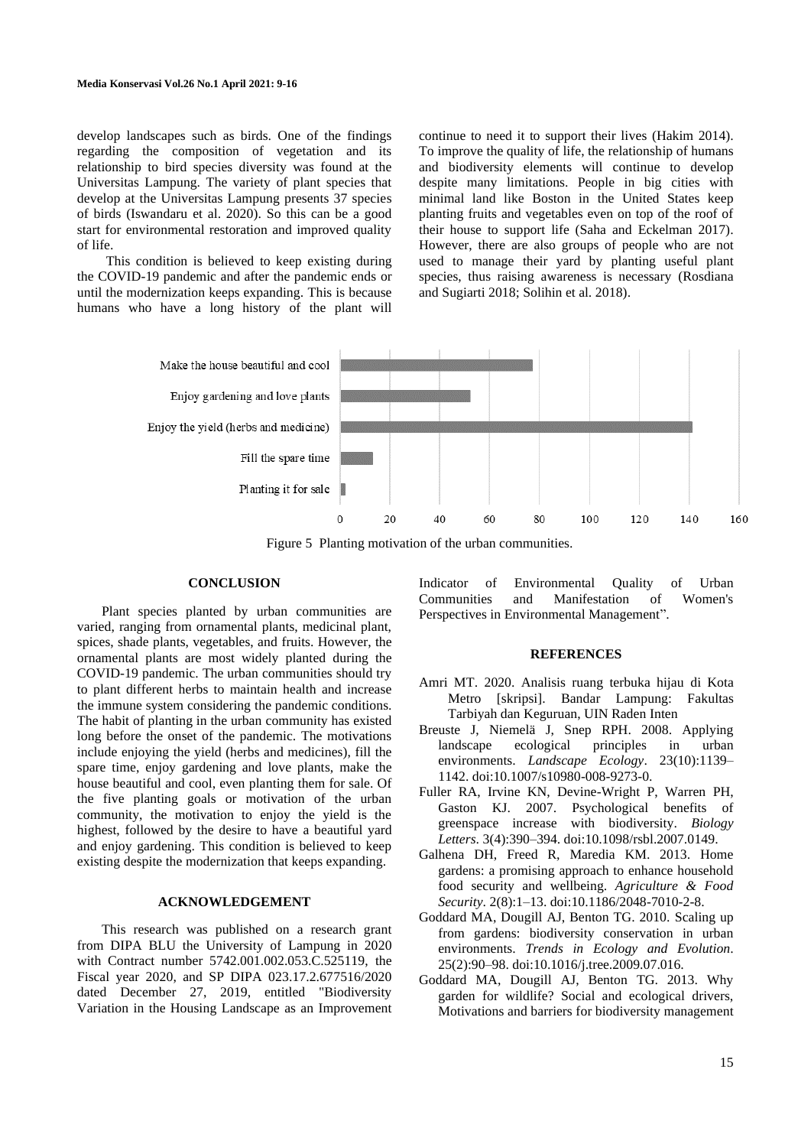develop landscapes such as birds. One of the findings regarding the composition of vegetation and its relationship to bird species diversity was found at the Universitas Lampung. The variety of plant species that develop at the Universitas Lampung presents 37 species of birds (Iswandaru et al. 2020). So this can be a good start for environmental restoration and improved quality of life.

This condition is believed to keep existing during the COVID-19 pandemic and after the pandemic ends or until the modernization keeps expanding. This is because humans who have a long history of the plant will

continue to need it to support their lives (Hakim 2014). To improve the quality of life, the relationship of humans and biodiversity elements will continue to develop despite many limitations. People in big cities with minimal land like Boston in the United States keep planting fruits and vegetables even on top of the roof of their house to support life (Saha and Eckelman 2017). However, there are also groups of people who are not used to manage their yard by planting useful plant species, thus raising awareness is necessary (Rosdiana and Sugiarti 2018; Solihin et al. 2018).



Figure 5 Planting motivation of the urban communities.

### **CONCLUSION**

Plant species planted by urban communities are varied, ranging from ornamental plants, medicinal plant, spices, shade plants, vegetables, and fruits. However, the ornamental plants are most widely planted during the COVID-19 pandemic. The urban communities should try to plant different herbs to maintain health and increase the immune system considering the pandemic conditions. The habit of planting in the urban community has existed long before the onset of the pandemic. The motivations include enjoying the yield (herbs and medicines), fill the spare time, enjoy gardening and love plants, make the house beautiful and cool, even planting them for sale. Of the five planting goals or motivation of the urban community, the motivation to enjoy the yield is the highest, followed by the desire to have a beautiful yard and enjoy gardening. This condition is believed to keep existing despite the modernization that keeps expanding.

### **ACKNOWLEDGEMENT**

This research was published on a research grant from DIPA BLU the University of Lampung in 2020 with Contract number 5742.001.002.053.C.525119, the Fiscal year 2020, and SP DIPA 023.17.2.677516/2020 dated December 27, 2019, entitled "Biodiversity Variation in the Housing Landscape as an Improvement Indicator of Environmental Quality of Urban Communities and Manifestation of Women's Perspectives in Environmental Management".

### **REFERENCES**

- Amri MT. 2020. Analisis ruang terbuka hijau di Kota Metro [skripsi]. Bandar Lampung: Fakultas Tarbiyah dan Keguruan, UIN Raden Inten
- Breuste J, Niemelä J, Snep RPH. 2008. Applying landscape ecological principles in urban environments. *Landscape Ecology*. 23(10):1139– 1142. doi:10.1007/s10980-008-9273-0.
- Fuller RA, Irvine KN, Devine-Wright P, Warren PH, Gaston KJ. 2007. Psychological benefits of greenspace increase with biodiversity. *Biology Letters*. 3(4):390–394. doi:10.1098/rsbl.2007.0149.
- Galhena DH, Freed R, Maredia KM. 2013. Home gardens: a promising approach to enhance household food security and wellbeing. *Agriculture & Food Security*. 2(8):1–13. doi:10.1186/2048-7010-2-8.
- Goddard MA, Dougill AJ, Benton TG. 2010. Scaling up from gardens: biodiversity conservation in urban environments. *Trends in Ecology and Evolution*. 25(2):90–98. doi:10.1016/j.tree.2009.07.016.
- Goddard MA, Dougill AJ, Benton TG. 2013. Why garden for wildlife? Social and ecological drivers, Motivations and barriers for biodiversity management